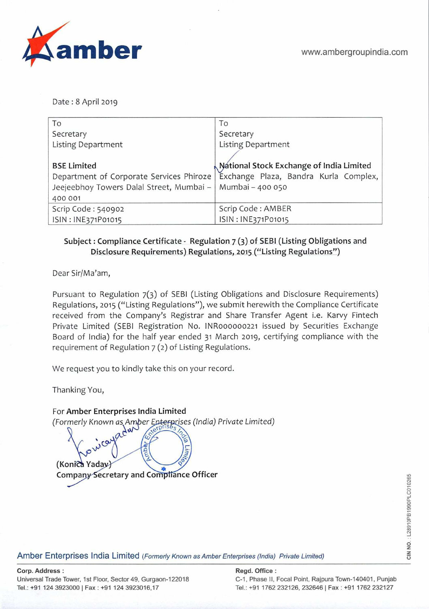

Date: 8 April 2019

| To                                                          | To                                       |
|-------------------------------------------------------------|------------------------------------------|
| Secretary                                                   | Secretary                                |
| <b>Listing Department</b>                                   | <b>Listing Department</b>                |
|                                                             |                                          |
| <b>BSE Limited</b>                                          | National Stock Exchange of India Limited |
| Department of Corporate Services Phiroze                    | Exchange Plaza, Bandra Kurla Complex,    |
| Jeejeebhoy Towers Dalal Street, Mumbai -   Mumbai - 400 050 |                                          |
| 400 001                                                     |                                          |
| Scrip Code: 540902                                          | Scrip Code: AMBER                        |
| ISIN: INE371P01015                                          | ISIN: INE371P01015                       |

## Subject: Compliance Certificate - Regulation 7 (3) of SEBI (Listing Obligations and Disclosure Requirements) Regulations, **2015** ("Listing Regulations")

Dear Sir/Ma'am,

Pursuant to Regulation 7(3) of SEBI (Listing Obligations and Disclosure Requirements) Regulations, 2015 ("Listing Regulations"), we submit herewith the Compliance Certificate received from the Company's Registrar and Share Transfer Agent i.e. Karvy Fintech Private Limited (SEBl Registration No. INR000000221 issued by Securities Exchange Board of India) for the half year ended **31** March **2019,** certifying compliance with the requirement of Regulation 7 **(2)** of Listing Regulations.

We request you to kindly take this on your record.

Thanking You,

For Amber Enterprises India Limited (Formerly Known as Amber Enterprises (India) Private Limited) (Konica Yaday) Company Secretary and Compliance Officer

Amber Enterprises India Limited (Formerly Known as Amber Enterprises (India) Private Limited)

## **Corp. Address: Regd. Office:**

Universal Trade Tower, 1st Floor, Sector 49, Gurgaon-122018 C-1, Phase II, Focal Point, Rajpura Town-140401, Punjab **TeL: +91 124 39230001 Fax: +91 124 3923016,17** TeL: **~91 1762 232126, 232646** I **Fax: +91 1762 232127**